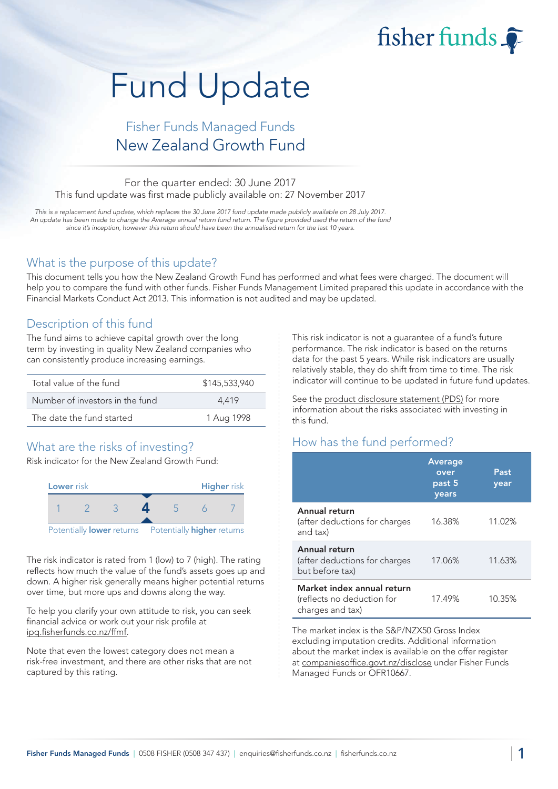# Fund Update

## Fisher Funds Managed Funds New Zealand Growth Fund

#### For the quarter ended: 30 June 2017 This fund update was first made publicly available on: 27 November 2017

This is a replacement fund update, which replaces the 30 June 2017 fund update made publicly available on 28 July 2017. An update has been made to change the Average annual return fund return. The figure provided used the return of the fund since it's inception, however this return should have been the annualised return for the last 10 years.

#### What is the purpose of this update?

This document tells you how the New Zealand Growth Fund has performed and what fees were charged. The document will help you to compare the fund with other funds. Fisher Funds Management Limited prepared this update in accordance with the Financial Markets Conduct Act 2013. This information is not audited and may be updated.

### Description of this fund

The fund aims to achieve capital growth over the long term by investing in quality New Zealand companies who can consistently produce increasing earnings.

| Total value of the fund         | \$145,533,940 |
|---------------------------------|---------------|
| Number of investors in the fund | 4.419         |
| The date the fund started       | 1 Aug 1998    |

## What are the risks of investing?

Risk indicator for the New Zealand Growth Fund:



The risk indicator is rated from 1 (low) to 7 (high). The rating reflects how much the value of the fund's assets goes up and down. A higher risk generally means higher potential returns over time, but more ups and downs along the way.

To help you clarify your own attitude to risk, you can seek financial advice or work out your risk profile at [ipq.fisherfunds.co.nz/ffmf.](https://ipq.fisherfunds.co.nz/ffmf)

Note that even the lowest category does not mean a risk-free investment, and there are other risks that are not captured by this rating.

This risk indicator is not a guarantee of a fund's future performance. The risk indicator is based on the returns data for the past 5 years. While risk indicators are usually relatively stable, they do shift from time to time. The risk indicator will continue to be updated in future fund updates.

fisher funds

See the [product disclosure statement \(PDS\)](https://fisherfunds.co.nz/assets/PDS/Fisher-Funds-Managed-Funds-PDS.pdf) for more information about the risks associated with investing in this fund.

## How has the fund performed?

|                                                                              | <b>Average</b><br>over<br>past 5<br>years | Past<br>year |
|------------------------------------------------------------------------------|-------------------------------------------|--------------|
| Annual return<br>(after deductions for charges<br>and tax)                   | 16.38%                                    | 11.02%       |
| Annual return<br>(after deductions for charges<br>but before tax)            | 17.06%                                    | 11.63%       |
| Market index annual return<br>(reflects no deduction for<br>charges and tax) | 17.49%                                    | 10.35%       |

The market index is the S&P/NZX50 Gross Index excluding imputation credits. Additional information about the market index is available on the offer register at [companiesoffice.govt.nz/disclose](http://companiesoffice.govt.nz/disclose) under Fisher Funds Managed Funds or OFR10667.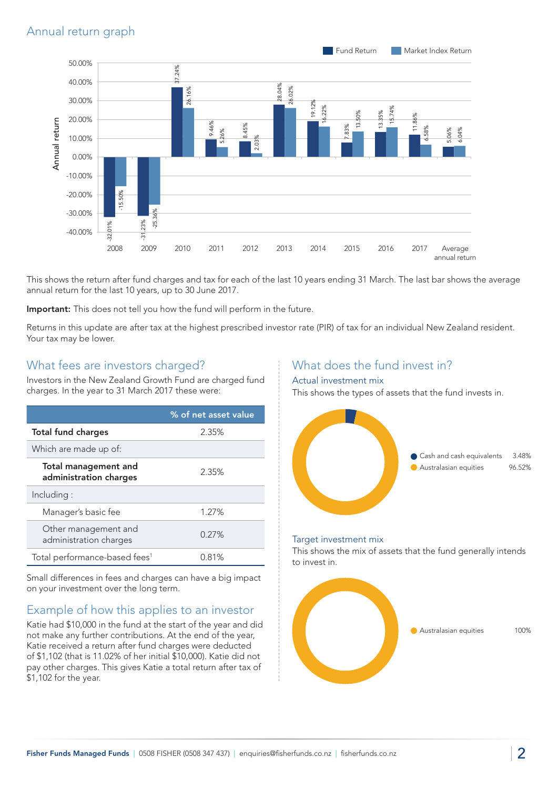

This shows the return after fund charges and tax for each of the last 10 years ending 31 March. The last bar shows the average annual return for the last 10 years, up to 30 June 2017.

Important: This does not tell you how the fund will perform in the future.

Returns in this update are after tax at the highest prescribed investor rate (PIR) of tax for an individual New Zealand resident. Your tax may be lower.

#### What fees are investors charged?

Investors in the New Zealand Growth Fund are charged fund charges. In the year to 31 March 2017 these were:

|                                                       | % of net asset value |
|-------------------------------------------------------|----------------------|
| <b>Total fund charges</b>                             | 2.35%                |
| Which are made up of:                                 |                      |
| <b>Total management and</b><br>administration charges | 2.35%                |
| Including:                                            |                      |
| Manager's basic fee                                   | 1.27%                |
| Other management and<br>administration charges        | 0.27%                |
| Total performance-based fees <sup>1</sup>             | 0.81%                |

Small differences in fees and charges can have a big impact on your investment over the long term.

## Example of how this applies to an investor

Katie had \$10,000 in the fund at the start of the year and did not make any further contributions. At the end of the year, Katie received a return after fund charges were deducted of \$1,102 (that is 11.02% of her initial \$10,000). Katie did not pay other charges. This gives Katie a total return after tax of \$1,102 for the year.

## What does the fund invest in?

#### Actual investment mix

This shows the types of assets that the fund invests in.



#### Target investment mix

This shows the mix of assets that the fund generally intends to invest in.